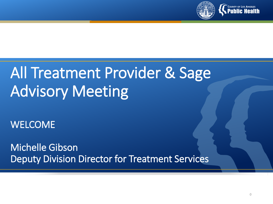

### All Treatment Provider & Sage Advisory Meeting

WELCOME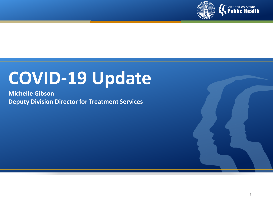

# **COVID-19 Update**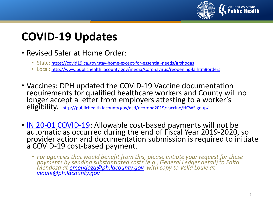

#### **COVID-19 Updates**

- Revised Safer at Home Order:
	- State: <https://covid19.ca.gov/stay-home-except-for-essential-needs/#rshoqas>
	- Local:<http://www.publichealth.lacounty.gov/media/Coronavirus/reopening-la.htm#orders>
- Vaccines: DPH updated the COVID-19 Vaccine documentation requirements for qualified healthcare workers and County will no longer accept a letter from employers attesting to a worker's eligibility. <http://publichealth.lacounty.gov/acd/ncorona2019/vaccine/HCWSignup/>
- [IN 20-01 COVID-19:](http://publichealth.lacounty.gov/sapc/bulletins/START-ODS/21-01/SAPCIN21-01COVID-19.pdf) Allowable cost-based payments will not be [automatic as occur](http://publichealth.lacounty.gov/sapc/bulletins/START-ODS/21-01/SAPCIN21-01COVID-19.pdf)red during the end of Fiscal Year 2019-2020, so provider action and documentation submission is required to initiate a COVID-19 cost-based payment.
	- *For agencies that would benefit from this, please initiate your request for these payments by sending substantiated costs (e.g., General Ledger detail) to Edita Mendoza at [emendoza@ph.lacounty.gov](mailto:emendoza@ph.lacounty.gov) with copy to Vella Louie at [vlouie@ph.lacounty.gov](mailto:vlouie@ph.lacounty.gov)*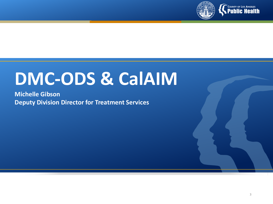

## **DMC-ODS & CalAIM**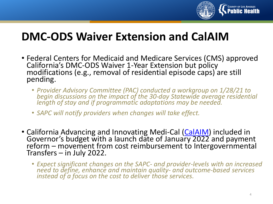

#### **DMC-ODS Waiver Extension and CalAIM**

- Federal Centers for Medicaid and Medicare Services (CMS) approved California's DMC-ODS Waiver 1-Year Extension but policy<br>modifications (e.g., removal of residential episode caps) are still pending.
	- *Provider Advisory Committee (PAC) conducted a workgroup on 1/28/21 to begin discussions on the impact of the 30-day Statewide average residential length of stay and if programmatic adaptations may be needed.*
	- *SAPC will notify providers when changes will take effect.*
- California Advancing and Innovating Medi-Cal [\(CalAIM\)](https://www.dhcs.ca.gov/calaim) included in<br>Governor's budget with a launch date of Janua[ry 2022](https://www.dhcs.ca.gov/calaim) and payment reform – movement from cost reimbursement to Intergovernmental<br>Transfers – in July 2022.
	- *Expect significant changes on the SAPC- and provider-levels with an increased need to define, enhance and maintain quality- and outcome-based services instead of a focus on the cost to deliver those services.*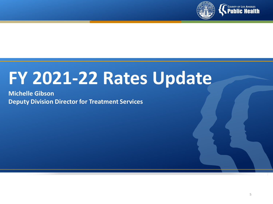

## **FY 2021-22 Rates Update**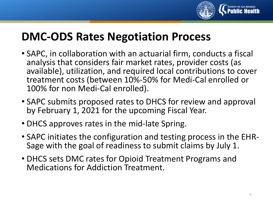

#### **DMC-ODS Rates Negotiation Process**

- SAPC, in collaboration with an actuarial firm, conducts a fiscal analysis that considers fair market rates, provider costs (as available), utilization, and required local contributions to cover treatment costs (between 10%-50% for Medi-Cal enrolled or 100% for non Medi-Cal enrolled).
- SAPC submits proposed rates to DHCS for review and approval by February 1, 2021 for the upcoming Fiscal Year.
- DHCS approves rates in the mid-late Spring.
- SAPC initiates the configuration and testing process in the EHR- Sage with the goal of readiness to submit claims by July 1.
- DHCS sets DMC rates for Opioid Treatment Programs and Medications for Addiction Treatment.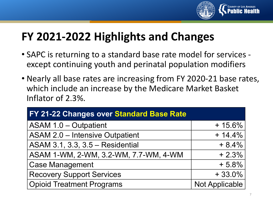

#### **FY 2021-2022 Highlights and Changes**

- SAPC is returning to a standard base rate model for services except continuing youth and perinatal population modifiers
- Nearly all base rates are increasing from FY 2020-21 base rates, which include an increase by the Medicare Market Basket Inflator of 2.3%.

| FY 21-22 Changes over Standard Base Rate |                |  |  |
|------------------------------------------|----------------|--|--|
| <b>ASAM 1.0 - Outpatient</b>             | $+15.6%$       |  |  |
| <b>ASAM 2.0 - Intensive Outpatient</b>   | $+ 14.4%$      |  |  |
| ASAM 3.1, 3.3, 3.5 - Residential         | $+8.4%$        |  |  |
| ASAM 1-WM, 2-WM, 3.2-WM, 7.7-WM, 4-WM    | $+2.3%$        |  |  |
| <b>Case Management</b>                   | $+5.8%$        |  |  |
| <b>Recovery Support Services</b>         | $+33.0%$       |  |  |
| <b>Opioid Treatment Programs</b>         | Not Applicable |  |  |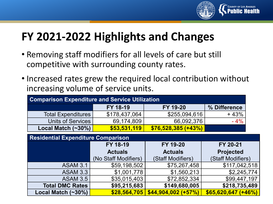

#### **FY 2021-2022 Highlights and Changes**

- Removing staff modifiers for all levels of care but still competitive with surrounding county rates.
- Increased rates grew the required local contribution without increasing volume of service units.

| <b>Comparison Expenditure and Service Utilization</b> |                      |                      |                      |  |
|-------------------------------------------------------|----------------------|----------------------|----------------------|--|
|                                                       | FY 18-19             | FY 19-20             | % Difference         |  |
| <b>Total Expenditures</b>                             | \$178,437,064        | \$255,094,616        | $+43%$               |  |
| <b>Units of Services</b>                              | 69,174,809           | 66,092,376           | $-4%$                |  |
| Local Match $(\sim 30\%)$                             | \$53,531,119         | $$76,528,385 (+43%)$ |                      |  |
| <b>Residential Expenditure Comparison</b>             |                      |                      |                      |  |
|                                                       | FY 18-19             | FY 19-20             | FY 20-21             |  |
|                                                       | <b>Actuals</b>       | <b>Actuals</b>       | <b>Projected</b>     |  |
|                                                       | (No Staff Modifiers) | (Staff Modifiers)    | (Staff Modifiers)    |  |
| <b>ASAM 3.1</b>                                       | \$59,198,502         | \$75,267,458         | \$117,042,518        |  |
| <b>ASAM 3.3</b>                                       | \$1,001,778          | \$1,560,213          | \$2,245,774          |  |
| <b>ASAM 3.5</b>                                       | \$35,015,403         | \$72,852,334         | \$99,447,197         |  |
| <b>Total DMC Rates</b>                                | \$95,215,683         | \$149,680,005        | \$218,735,489        |  |
| Local Match $(\sim 30\%)$                             | \$28,564,705         | $$44,904,002 (+57%)$ | $$65,620,647 (+46%)$ |  |